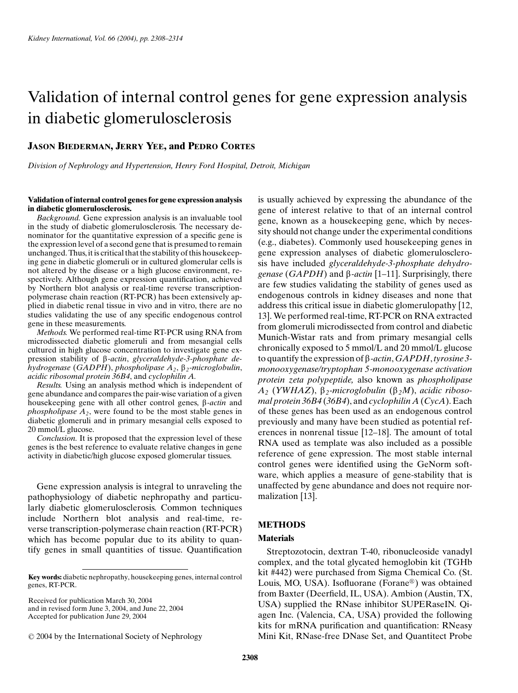# Validation of internal control genes for gene expression analysis in diabetic glomerulosclerosis

# **JASON BIEDERMAN, JERRY YEE, and PEDRO CORTES**

*Division of Nephrology and Hypertension, Henry Ford Hospital, Detroit, Michigan*

#### **Validation of internal control genes for gene expression analysis in diabetic glomerulosclerosis.**

*Background.* Gene expression analysis is an invaluable tool in the study of diabetic glomerulosclerosis. The necessary denominator for the quantitative expression of a specific gene is the expression level of a second gene that is presumed to remain unchanged. Thus, it is critical that the stability of this housekeeping gene in diabetic glomeruli or in cultured glomerular cells is not altered by the disease or a high glucose environment, respectively. Although gene expression quantification, achieved by Northern blot analysis or real-time reverse transcriptionpolymerase chain reaction (RT-PCR) has been extensively applied in diabetic renal tissue in vivo and in vitro, there are no studies validating the use of any specific endogenous control gene in these measurements.

*Methods.* We performed real-time RT-PCR using RNA from microdissected diabetic glomeruli and from mesangial cells cultured in high glucose concentration to investigate gene expression stability of b*-actin*, *glyceraldehyde-3-phosphate dehydrogenase* (*GADPH*), *phospholipase A2*, b*2-microglobulin*, *acidic ribosomal protein 36B4*, and *cyclophilin A.*

*Results.* Using an analysis method which is independent of gene abundance and compares the pair-wise variation of a given housekeeping gene with all other control genes, β-*actin* and *phospholipase A2*, were found to be the most stable genes in diabetic glomeruli and in primary mesangial cells exposed to 20 mmol/L glucose.

*Conclusion.* It is proposed that the expression level of these genes is the best reference to evaluate relative changes in gene activity in diabetic/high glucose exposed glomerular tissues.

Gene expression analysis is integral to unraveling the pathophysiology of diabetic nephropathy and particularly diabetic glomerulosclerosis. Common techniques include Northern blot analysis and real-time, reverse transcription-polymerase chain reaction (RT-PCR) which has become popular due to its ability to quantify genes in small quantities of tissue. Quantification

Received for publication March 30, 2004 and in revised form June 3, 2004, and June 22, 2004 Accepted for publication June 29, 2004

is usually achieved by expressing the abundance of the gene of interest relative to that of an internal control gene, known as a housekeeping gene, which by necessity should not change under the experimental conditions (e.g., diabetes). Commonly used housekeeping genes in gene expression analyses of diabetic glomerulosclerosis have included *glyceraldehyde-3-phosphate dehydrogenase* (*GAPDH*) and β-*actin* [1–11]. Surprisingly, there are few studies validating the stability of genes used as endogenous controls in kidney diseases and none that address this critical issue in diabetic glomerulopathy [12, 13]. We performed real-time, RT-PCR on RNA extracted from glomeruli microdissected from control and diabetic Munich-Wistar rats and from primary mesangial cells chronically exposed to 5 mmol/L and 20 mmol/L glucose to quantify the expression of b*-actin*, *GAPDH*, *tyrosine 3 monooxygenase/tryptophan 5-monooxygenase activation protein zeta polypeptide,* also known as *phospholipase A2* (*YWHAZ*), b*2-microglobulin* (b*2M*), *acidic ribosomal protein 36B4* (*36B4*), and *cyclophilin A* (*CycA*). Each of these genes has been used as an endogenous control previously and many have been studied as potential references in nonrenal tissue [12–18]. The amount of total RNA used as template was also included as a possible reference of gene expression. The most stable internal control genes were identified using the GeNorm software, which applies a measure of gene-stability that is unaffected by gene abundance and does not require normalization [13].

# **METHODS**

## **Materials**

Streptozotocin, dextran T-40, ribonucleoside vanadyl complex, and the total glycated hemoglobin kit (TGHb kit #442) were purchased from Sigma Chemical Co. (St. Louis, MO, USA). Isofluorane (Forane<sup>®</sup>) was obtained from Baxter (Deerfield, IL, USA). Ambion (Austin, TX, USA) supplied the RNase inhibitor SUPERaseIN. Qiagen Inc. (Valencia, CA, USA) provided the following kits for mRNA purification and quantification: RNeasy Mini Kit, RNase-free DNase Set, and Quantitect Probe

**Key words:** diabetic nephropathy, housekeeping genes, internal control genes, RT-PCR.

<sup>C</sup> 2004 by the International Society of Nephrology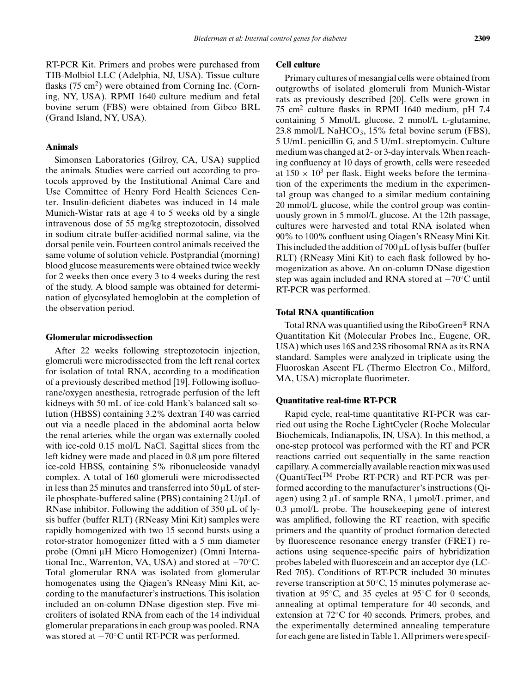RT-PCR Kit. Primers and probes were purchased from TIB-Molbiol LLC (Adelphia, NJ, USA). Tissue culture flasks  $(75 \text{ cm}^2)$  were obtained from Corning Inc. (Corning, NY, USA). RPMI 1640 culture medium and fetal bovine serum (FBS) were obtained from Gibco BRL (Grand Island, NY, USA).

### **Animals**

Simonsen Laboratories (Gilroy, CA, USA) supplied the animals. Studies were carried out according to protocols approved by the Institutional Animal Care and Use Committee of Henry Ford Health Sciences Center. Insulin-deficient diabetes was induced in 14 male Munich-Wistar rats at age 4 to 5 weeks old by a single intravenous dose of 55 mg/kg streptozotocin, dissolved in sodium citrate buffer-acidified normal saline, via the dorsal penile vein. Fourteen control animals received the same volume of solution vehicle. Postprandial (morning) blood glucose measurements were obtained twice weekly for 2 weeks then once every 3 to 4 weeks during the rest of the study. A blood sample was obtained for determination of glycosylated hemoglobin at the completion of the observation period.

#### **Glomerular microdissection**

After 22 weeks following streptozotocin injection, glomeruli were microdissected from the left renal cortex for isolation of total RNA, according to a modification of a previously described method [19]. Following isofluorane/oxygen anesthesia, retrograde perfusion of the left kidneys with 50 mL of ice-cold Hank's balanced salt solution (HBSS) containing 3.2% dextran T40 was carried out via a needle placed in the abdominal aorta below the renal arteries, while the organ was externally cooled with ice-cold 0.15 mol/L NaCl. Sagittal slices from the left kidney were made and placed in  $0.8 \mu m$  pore filtered ice-cold HBSS, containing 5% ribonucleoside vanadyl complex. A total of 160 glomeruli were microdissected in less than 25 minutes and transferred into  $50 \mu L$  of sterile phosphate-buffered saline (PBS) containing  $2 U/\mu L$  of RNase inhibitor. Following the addition of  $350 \mu L$  of lysis buffer (buffer RLT) (RNeasy Mini Kit) samples were rapidly homogenized with two 15 second bursts using a rotor-strator homogenizer fitted with a 5 mm diameter probe (Omni µH Micro Homogenizer) (Omni International Inc., Warrenton, VA, USA) and stored at −70◦C. Total glomerular RNA was isolated from glomerular homogenates using the Qiagen's RNeasy Mini Kit, according to the manufacturer's instructions. This isolation included an on-column DNase digestion step. Five microliters of isolated RNA from each of the 14 individual glomerular preparations in each group was pooled. RNA was stored at −70◦C until RT-PCR was performed.

#### **Cell culture**

Primary cultures of mesangial cells were obtained from outgrowths of isolated glomeruli from Munich-Wistar rats as previously described [20]. Cells were grown in 75 cm<sup>2</sup> culture flasks in RPMI 1640 medium, pH 7.4 containing 5 Mmol/L glucose, 2 mmol/L L-glutamine, 23.8 mmol/L NaHCO<sub>3</sub>, 15% fetal bovine serum (FBS), 5 U/mL penicillin G, and 5 U/mL streptomycin. Culture medium was changed at 2- or 3-day intervals. When reaching confluency at 10 days of growth, cells were reseeded at  $150 \times 10^3$  per flask. Eight weeks before the termination of the experiments the medium in the experimental group was changed to a similar medium containing 20 mmol/L glucose, while the control group was continuously grown in 5 mmol/L glucose. At the 12th passage, cultures were harvested and total RNA isolated when 90% to 100% confluent using Qiagen's RNeasy Mini Kit. This included the addition of  $700 \mu L$  of lysis buffer (buffer RLT) (RNeasy Mini Kit) to each flask followed by homogenization as above. An on-column DNase digestion step was again included and RNA stored at −70◦C until RT-PCR was performed.

## **Total RNA quantification**

Total RNA was quantified using the RiboGreen<sup>®</sup> RNA Quantitation Kit (Molecular Probes Inc., Eugene, OR, USA) which uses 16S and 23S ribosomal RNA as its RNA standard. Samples were analyzed in triplicate using the Fluoroskan Ascent FL (Thermo Electron Co., Milford, MA, USA) microplate fluorimeter.

#### **Quantitative real-time RT-PCR**

Rapid cycle, real-time quantitative RT-PCR was carried out using the Roche LightCycler (Roche Molecular Biochemicals, Indianapolis, IN, USA). In this method, a one-step protocol was performed with the RT and PCR reactions carried out sequentially in the same reaction capillary. A commercially available reaction mix was used (QuantiTect<sup>TM</sup> Probe RT-PCR) and RT-PCR was performed according to the manufacturer's instructions (Qiagen) using  $2 \mu L$  of sample RNA, 1  $\mu$ mol/L primer, and  $0.3 \mu$ mol/L probe. The housekeeping gene of interest was amplified, following the RT reaction, with specific primers and the quantity of product formation detected by fluorescence resonance energy transfer (FRET) reactions using sequence-specific pairs of hybridization probes labeled with fluorescein and an acceptor dye (LC-Red 705). Conditions of RT-PCR included 30 minutes reverse transcription at 50◦C, 15 minutes polymerase activation at 95 $\degree$ C, and 35 cycles at 95 $\degree$ C for 0 seconds, annealing at optimal temperature for 40 seconds, and extension at 72◦C for 40 seconds. Primers, probes, and the experimentally determined annealing temperature for each gene are listed in Table 1. All primers were specif-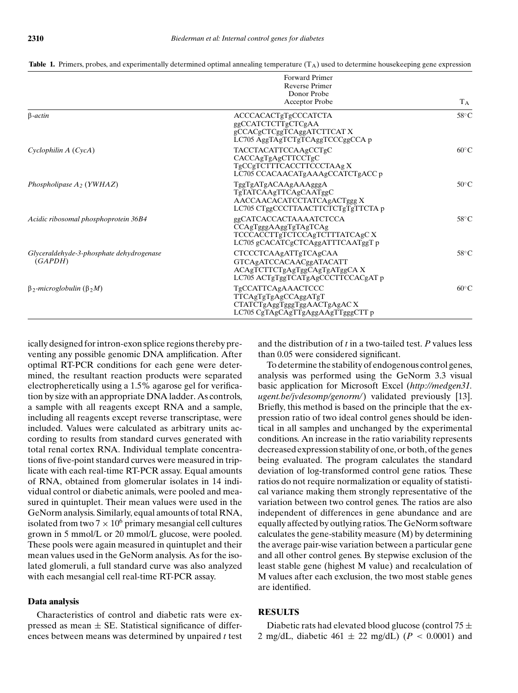|                                                     | <b>Forward Primer</b><br><b>Reverse Primer</b><br>Donor Probe<br>Acceptor Probe                                        | $T_A$          |
|-----------------------------------------------------|------------------------------------------------------------------------------------------------------------------------|----------------|
| $\beta$ -actin                                      | <b>ACCCACACTgTgCCCATCTA</b><br>ggCCATCTCTTgCTCgAA<br>gCCACgCTCggTCAggATCTTCAT X<br>LC705 AggTAgTCTgTCAggTCCCggCCA p    | $58^{\circ}$ C |
| Cyclophilin A (CycA)                                | TACCTACATTCCAAgCCTgC<br>CACCAgTgAgCTTCCTgC<br>TgCCgTCTTTCACCTTCCCTAAg X<br>LC705 CCACAACATgAAAgCCATCTgACC p            | $60^{\circ}$ C |
| Phospholipase $A_2$ (YWHAZ)                         | TggTgATgACAAgAAAgggA<br>TgTATCAAgTTCAgCAATggC<br>AACCAACACATCCTATCAgACTggg X<br>LC705 CTggCCCTTAACTTCTCTgTgTTCTA p     | $50^{\circ}$ C |
| Acidic ribosomal phosphoprotein 36B4                | ggCATCACCACTAAAATCTCCA<br>CCAgTgggAAggTgTAgTCAg<br>TCCCACCTTgTCTCCAgTCTTTATCAgC X<br>LC705 gCACATCgCTCAggATTTCAATggT p | $58^{\circ}$ C |
| Glyceraldehyde-3-phosphate dehydrogenase<br>(GAPDH) | CTCCCTCAAgATTgTCAgCAA<br>GTCAgATCCACAACggATACATT<br>ACAgTCTTCTgAgTggCAgTgATggCAX<br>LC705 ACTgTggTCATgAgCCCTTCCACgAT p | $58^{\circ}$ C |
| $\beta_2$ -microglobulin ( $\beta_2M$ )             | <b>TgCCATTCAgAAACTCCC</b><br>TTCAgTgTgAgCCAggATgT<br>CTATCTgAggTgggTggAACTgAgACX<br>LC705 CgTAgCAgTTgAggAAgTTgggCTT p  | $60^{\circ}$ C |

**Table 1.** Primers, probes, and experimentally determined optimal annealing temperature  $(T_A)$  used to determine housekeeping gene expression

ically designed for intron-exon splice regions thereby preventing any possible genomic DNA amplification. After optimal RT-PCR conditions for each gene were determined, the resultant reaction products were separated electropheretically using a 1.5% agarose gel for verification by size with an appropriate DNA ladder. As controls, a sample with all reagents except RNA and a sample, including all reagents except reverse transcriptase, were included. Values were calculated as arbitrary units according to results from standard curves generated with total renal cortex RNA. Individual template concentrations of five-point standard curves were measured in triplicate with each real-time RT-PCR assay. Equal amounts of RNA, obtained from glomerular isolates in 14 individual control or diabetic animals, were pooled and measured in quintuplet. Their mean values were used in the GeNorm analysis. Similarly, equal amounts of total RNA, isolated from two  $7 \times 10^6$  primary mesangial cell cultures grown in 5 mmol/L or 20 mmol/L glucose, were pooled. These pools were again measured in quintuplet and their mean values used in the GeNorm analysis. As for the isolated glomeruli, a full standard curve was also analyzed with each mesangial cell real-time RT-PCR assay.

#### **Data analysis**

Characteristics of control and diabetic rats were expressed as mean  $\pm$  SE. Statistical significance of differences between means was determined by unpaired *t* test

and the distribution of *t* in a two-tailed test. *P* values less than 0.05 were considered significant.

To determine the stability of endogenous control genes, analysis was performed using the GeNorm 3.3 visual basic application for Microsoft Excel (*http://medgen31. ugent.be/jvdesomp/genorm/*) validated previously [13]. Briefly, this method is based on the principle that the expression ratio of two ideal control genes should be identical in all samples and unchanged by the experimental conditions. An increase in the ratio variability represents decreased expression stability of one, or both, of the genes being evaluated. The program calculates the standard deviation of log-transformed control gene ratios. These ratios do not require normalization or equality of statistical variance making them strongly representative of the variation between two control genes. The ratios are also independent of differences in gene abundance and are equally affected by outlying ratios. The GeNorm software calculates the gene-stability measure (M) by determining the average pair-wise variation between a particular gene and all other control genes. By stepwise exclusion of the least stable gene (highest M value) and recalculation of M values after each exclusion, the two most stable genes are identified.

# **RESULTS**

Diabetic rats had elevated blood glucose (control  $75 \pm$ 2 mg/dL, diabetic  $461 \pm 22$  mg/dL) ( $P < 0.0001$ ) and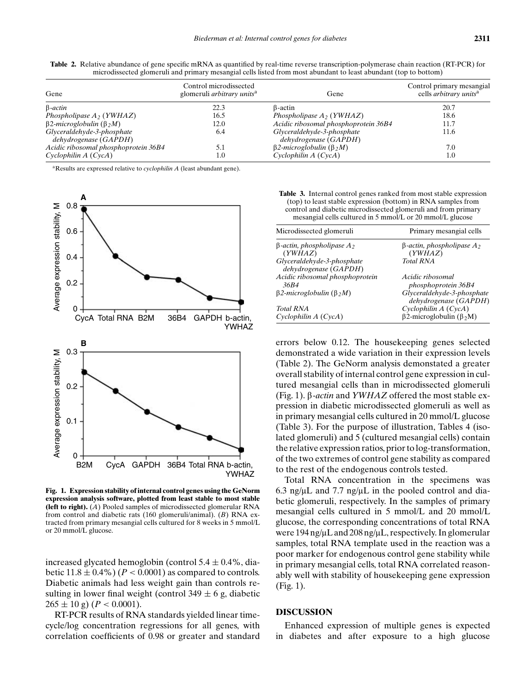| Gene                                                | Control microdissected<br>glomeruli <i>arbitrary units<sup>a</sup></i> | Gene                                                | Control primary mesangial<br>cells arbitrary units <sup>a</sup> |
|-----------------------------------------------------|------------------------------------------------------------------------|-----------------------------------------------------|-----------------------------------------------------------------|
| $\beta$ -actin                                      | 22.3                                                                   | B-actin                                             | 20.7                                                            |
| Phospholipase $A_2$ (YWHAZ)                         | 16.5                                                                   | Phospholipase $A_2$ (YWHAZ)                         | 18.6                                                            |
| $\beta$ 2-microglobulin ( $\beta$ <sub>2</sub> M)   | 12.0                                                                   | Acidic ribosomal phosphoprotein 36B4                | 11.7                                                            |
| Glyceraldehyde-3-phosphate<br>dehydrogenase (GAPDH) | 6.4                                                                    | Glyceraldehyde-3-phosphate<br>dehydrogenase (GAPDH) | 11.6                                                            |
| Acidic ribosomal phosphoprotein 36B4                | 5.1                                                                    | $β2-microglobulin (β2M)$                            | 7.0                                                             |
| Cyclophilin A (CycA)                                | $1.0\,$                                                                | Cyclophilin A (CycA)                                | $1.0\,$                                                         |

**Table 2.** Relative abundance of gene specific mRNA as quantified by real-time reverse transcription-polymerase chain reaction (RT-PCR) for microdissected glomeruli and primary mesangial cells listed from most abundant to least abundant (top to bottom)

<sup>a</sup>Results are expressed relative to *cyclophilin A* (least abundant gene).



**Fig. 1. Expression stability of internal control genes using the GeNorm expression analysis software, plotted from least stable to most stable (left to right).** (*A*) Pooled samples of microdissected glomerular RNA from control and diabetic rats (160 glomeruli/animal). (*B*) RNA extracted from primary mesangial cells cultured for 8 weeks in 5 mmol/L or 20 mmol/L glucose.

increased glycated hemoglobin (control  $5.4 \pm 0.4\%$ , diabetic  $11.8 \pm 0.4\%$ ) (*P* < 0.0001) as compared to controls. Diabetic animals had less weight gain than controls resulting in lower final weight (control  $349 \pm 6$  g, diabetic  $265 \pm 10$  g) ( $P < 0.0001$ ).

RT-PCR results of RNA standards yielded linear timecycle/log concentration regressions for all genes, with correlation coefficients of 0.98 or greater and standard **Table 3.** Internal control genes ranked from most stable expression (top) to least stable expression (bottom) in RNA samples from control and diabetic microdissected glomeruli and from primary mesangial cells cultured in 5 mmol/L or 20 mmol/L glucose

| Microdissected glomeruli                                | Primary mesangial cells                                 |
|---------------------------------------------------------|---------------------------------------------------------|
| $\beta$ -actin, phospholipase A <sub>2</sub><br>(YWHAZ) | $\beta$ -actin, phospholipase A <sub>2</sub><br>(YWHAZ) |
| Glyceraldehyde-3-phosphate<br>dehydrogenase (GAPDH)     | <b>Total RNA</b>                                        |
| Acidic ribosomal phosphoprotein<br>36B4                 | Acidic ribosomal<br>phosphoprotein 36B4                 |
| $\beta$ 2-microglobulin ( $\beta$ <sub>2</sub> M)       | Glyceraldehyde-3-phosphate<br>dehydrogenase (GAPDH)     |
| <b>Total RNA</b>                                        | Cyclophilin A (CycA)                                    |
| Cyclophilin A (CycA)                                    | $\beta$ 2-microglobulin ( $\beta$ <sub>2</sub> M)       |

errors below 0.12. The housekeeping genes selected demonstrated a wide variation in their expression levels (Table 2). The GeNorm analysis demonstated a greater overall stability of internal control gene expression in cultured mesangial cells than in microdissected glomeruli (Fig. 1).  $\beta$ -*actin* and *YWHAZ* offered the most stable expression in diabetic microdissected glomeruli as well as in primary mesangial cells cultured in 20 mmol/L glucose (Table 3). For the purpose of illustration, Tables 4 (isolated glomeruli) and 5 (cultured mesangial cells) contain the relative expression ratios, prior to log-transformation, of the two extremes of control gene stability as compared to the rest of the endogenous controls tested.

Total RNA concentration in the specimens was 6.3 ng/ $\mu$ L and 7.7 ng/ $\mu$ L in the pooled control and diabetic glomeruli, respectively. In the samples of primary mesangial cells cultured in 5 mmol/L and 20 mmol/L glucose, the corresponding concentrations of total RNA were 194 ng/ $\mu$ L and 208 ng/ $\mu$ L, respectively. In glomerular samples, total RNA template used in the reaction was a poor marker for endogenous control gene stability while in primary mesangial cells, total RNA correlated reasonably well with stability of housekeeping gene expression (Fig. 1).

# **DISCUSSION**

Enhanced expression of multiple genes is expected in diabetes and after exposure to a high glucose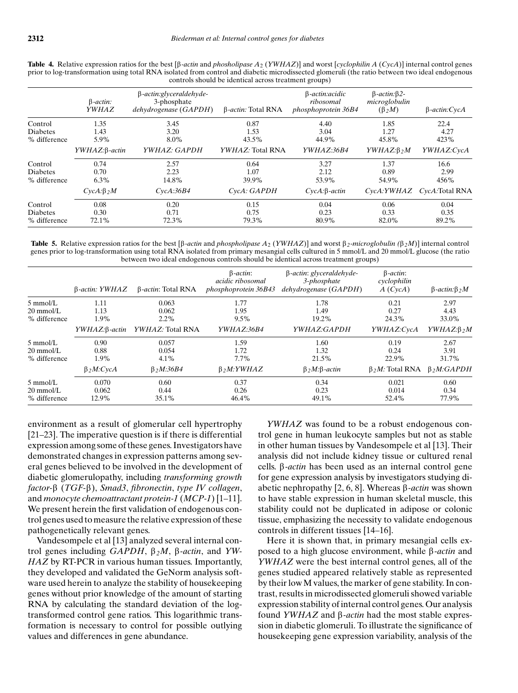|                                            | $\beta$ -actin:<br><b>YWHAZ</b>            | $\beta$ -actin:glyceraldehyde-<br>3-phosphate<br>dehydrogenase (GAPDH) | β- <i>actin</i> : Total RNA          | $\beta$ -actin: acidic<br>ribosomal<br>phosphoprotein 36B4 | $\beta$ -actin: $\beta$ 2-<br>microglobulin<br>$(\beta_2 M)$ | $\beta$ -actin: $CycA$                            |
|--------------------------------------------|--------------------------------------------|------------------------------------------------------------------------|--------------------------------------|------------------------------------------------------------|--------------------------------------------------------------|---------------------------------------------------|
| Control<br><b>Diabetes</b><br>% difference | 1.35<br>1.43<br>5.9%                       | 3.45<br>3.20<br>8.0%                                                   | 0.87<br>1.53<br>43.5%                | 4.40<br>3.04<br>44.9%                                      | 1.85<br>1.27<br>45.8%                                        | 22.4<br>4.27<br>423%                              |
|                                            | YWHAZ:β-actin                              | YWHAZ: GAPDH                                                           | YWHAZ: Total RNA                     | YWHAZ:36B4                                                 | $YWHAZ:\beta_2M$                                             | YWHAZ:CvcA                                        |
| Control<br><b>Diabetes</b><br>% difference | 0.74<br>0.70<br>$6.3\%$<br>$CycA:\beta_2M$ | 2.57<br>2.23<br>14.8%<br>CvcA:36B4                                     | 0.64<br>1.07<br>39.9%<br>CycA: GAPDH | 3.27<br>2.12<br>53.9%<br>$CycA$ : $\beta$ -actin           | 1.37<br>0.89<br>54.9%                                        | 16.6<br>2.99<br>456%<br>CycA:YWHAZ CycA:Total RNA |
| Control<br>Diabetes<br>% difference        | 0.08<br>0.30<br>72.1%                      | 0.20<br>0.71<br>72.3%                                                  | 0.15<br>0.75<br>79.3%                | 0.04<br>0.23<br>80.9%                                      | 0.06<br>0.33<br>82.0%                                        | 0.04<br>0.35<br>89.2%                             |

**Table 4.** Relative expression ratios for the best  $\beta$ -*actin* and *phosholipase A*<sub>2</sub> (*YWHAZ*)] and worst  $\alpha$  (*cych*) internal control genes prior to log-transformation using total RNA isolated from control and diabetic microdissected glomeruli (the ratio between two ideal endogenous controls should be identical across treatment groups)

**Table 5.** Relative expression ratios for the best [ $\beta$ -actin and *phospholipase A*<sub>2</sub> (*YWHAZ*)] and worst  $\beta_2$ -microglobulin ( $\beta_2M$ )] internal control genes prior to log-transformation using total RNA isolated from primary mesangial cells cultured in 5 mmol/L and 20 mmol/L glucose (the ratio between two ideal endogenous controls should be identical across treatment groups)

|                     | β-actin: YWHAZ    | β- <i>actin</i> : Total RNA | $\beta$ -actin:<br>acidic ribosomal<br>phosphoprotein 36B43 | $\beta$ -actin: glyceraldehyde-<br>3-phosphate<br>dehydrogenase (GAPDH) | $\beta$ -actin:<br>cyclophilin<br>A(CycA) | $\beta$ -actin: $\beta$ , $M$     |
|---------------------|-------------------|-----------------------------|-------------------------------------------------------------|-------------------------------------------------------------------------|-------------------------------------------|-----------------------------------|
| $5 \text{ mmol/L}$  | 1.11              | 0.063                       | 1.77                                                        | 1.78                                                                    | 0.21                                      | 2.97                              |
| $20 \text{ mmol/L}$ | 1.13              | 0.062                       | 1.95                                                        | 1.49                                                                    | 0.27                                      | 4.43                              |
| % difference        | 1.9%              | $2.2\%$                     | $9.5\%$                                                     | 19.2%                                                                   | 24.3%                                     | 33.0%                             |
|                     | YWHAZ:β-actin     | YWHAZ: Total RNA            | YWHAZ:36B4                                                  | YWHAZ:GAPDH                                                             | YWHAZ:CvcA                                | $YWHAZ:\beta_2M$                  |
| $5 \text{ mmol/L}$  | 0.90              | 0.057                       | 1.59                                                        | 1.60                                                                    | 0.19                                      | 2.67                              |
| $20 \text{ mmol/L}$ | 0.88              | 0.054                       | 1.72                                                        | 1.32                                                                    | 0.24                                      | 3.91                              |
| % difference        | 1.9%              | 4.1%                        | $7.7\%$                                                     | 21.5%                                                                   | 22.9%                                     | 31.7%                             |
|                     | $\beta_2 M$ :CycA | $\beta$ , M:36B4            | $\beta$ , <i>M</i> : <i>YWHAZ</i>                           | $\beta_2M$ : $\beta$ -actin                                             | $\beta$ , M: Total RNA                    | $\beta$ , <i>M</i> : <i>GAPDH</i> |
| $5 \text{ mmol/L}$  | 0.070             | 0.60                        | 0.37                                                        | 0.34                                                                    | 0.021                                     | 0.60                              |
| $20 \text{ mmol/L}$ | 0.062             | 0.44                        | 0.26                                                        | 0.23                                                                    | 0.014                                     | 0.34                              |
| % difference        | 12.9%             | 35.1%                       | 46.4%                                                       | 49.1%                                                                   | 52.4%                                     | 77.9%                             |

environment as a result of glomerular cell hypertrophy [21–23]. The imperative question is if there is differential expression among some of these genes. Investigators have demonstrated changes in expression patterns among several genes believed to be involved in the development of diabetic glomerulopathy, including *transforming growth factor-*b (*TGF-*b), *Smad3*, *fibronectin*, *type IV collagen*, and *monocyte chemoattractant protein-1* (*MCP-1*)[1–11]. We present herein the first validation of endogenous control genes used to measure the relative expression of these pathogenetically relevant genes.

Vandesompele et al [13] analyzed several internal control genes including *GAPDH*, β<sub>2</sub>*M*, β*-actin*, and *YW*-*HAZ* by RT-PCR in various human tissues. Importantly, they developed and validated the GeNorm analysis software used herein to analyze the stability of housekeeping genes without prior knowledge of the amount of starting RNA by calculating the standard deviation of the logtransformed control gene ratios. This logarithmic transformation is necessary to control for possible outlying values and differences in gene abundance.

*YWHAZ* was found to be a robust endogenous control gene in human leukocyte samples but not as stable in other human tissues by Vandesompele et al [13]. Their analysis did not include kidney tissue or cultured renal cells. b*-actin* has been used as an internal control gene for gene expression analysis by investigators studying diabetic nephropathy  $[2, 6, 8]$ . Whereas  $\beta$ -*actin* was shown to have stable expression in human skeletal muscle, this stability could not be duplicated in adipose or colonic tissue, emphasizing the necessity to validate endogenous controls in different tissues [14–16].

Here it is shown that, in primary mesangial cells exposed to a high glucose environment, while β-*actin* and *YWHAZ* were the best internal control genes, all of the genes studied appeared relatively stable as represented by their low M values, the marker of gene stability. In contrast, results in microdissected glomeruli showed variable expression stability of internal control genes. Our analysis found *YWHAZ* and  $\beta$ -*actin* had the most stable expression in diabetic glomeruli. To illustrate the significance of housekeeping gene expression variability, analysis of the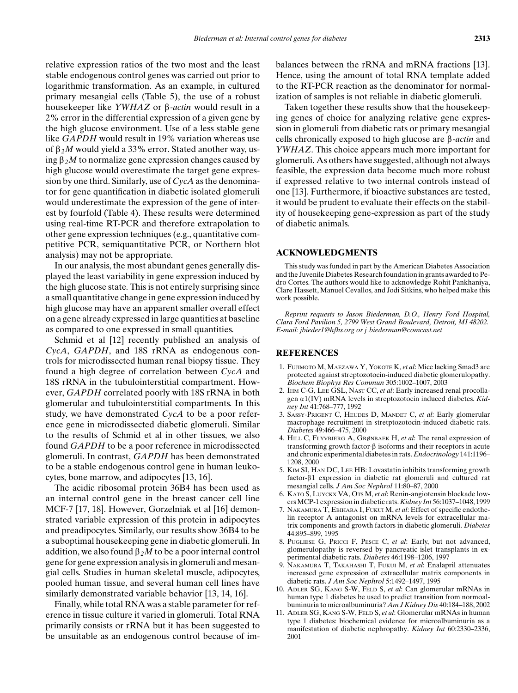relative expression ratios of the two most and the least stable endogenous control genes was carried out prior to logarithmic transformation. As an example, in cultured primary mesangial cells (Table 5), the use of a robust housekeeper like *YWHAZ* or β-*actin* would result in a 2% error in the differential expression of a given gene by the high glucose environment. Use of a less stable gene like *GAPDH* would result in 19% variation whereas use of  $\beta_2M$  would yield a 33% error. Stated another way, using  $\beta_2M$  to normalize gene expression changes caused by high glucose would overestimate the target gene expression by one third. Similarly, use of *CycA* as the denominator for gene quantification in diabetic isolated glomeruli would underestimate the expression of the gene of interest by fourfold (Table 4). These results were determined using real-time RT-PCR and therefore extrapolation to other gene expression techniques (e.g., quantitative competitive PCR, semiquantitative PCR, or Northern blot analysis) may not be appropriate.

In our analysis, the most abundant genes generally displayed the least variability in gene expression induced by the high glucose state. This is not entirely surprising since a small quantitative change in gene expression induced by high glucose may have an apparent smaller overall effect on a gene already expressed in large quantities at baseline as compared to one expressed in small quantities.

Schmid et al [12] recently published an analysis of *CycA*, *GAPDH*, and 18S rRNA as endogenous controls for microdissected human renal biopsy tissue. They found a high degree of correlation between *CycA* and 18S rRNA in the tubulointerstitial compartment. However, *GAPDH* correlated poorly with 18S rRNA in both glomerular and tubulointerstitial compartments. In this study, we have demonstrated *CycA* to be a poor reference gene in microdissected diabetic glomeruli. Similar to the results of Schmid et al in other tissues, we also found *GAPDH* to be a poor reference in microdissected glomeruli. In contrast, *GAPDH* has been demonstrated to be a stable endogenous control gene in human leukocytes, bone marrow, and adipocytes [13, 16].

The acidic ribosomal protein 36B4 has been used as an internal control gene in the breast cancer cell line MCF-7 [17, 18]. However, Gorzelniak et al [16] demonstrated variable expression of this protein in adipocytes and preadipocytes. Similarly, our results show 36B4 to be a suboptimal housekeeping gene in diabetic glomeruli. In addition, we also found  $\beta_2M$  to be a poor internal control gene for gene expression analysis in glomeruli and mesangial cells. Studies in human skeletal muscle, adipocytes, pooled human tissue, and several human cell lines have similarly demonstrated variable behavior [13, 14, 16].

Finally, while total RNA was a stable parameter for reference in tissue culture it varied in glomeruli. Total RNA primarily consists or rRNA but it has been suggested to be unsuitable as an endogenous control because of imbalances between the rRNA and mRNA fractions [13]. Hence, using the amount of total RNA template added to the RT-PCR reaction as the denominator for normalization of samples is not reliable in diabetic glomeruli.

Taken together these results show that the housekeeping genes of choice for analyzing relative gene expression in glomeruli from diabetic rats or primary mesangial cells chronically exposed to high glucose are b*-actin* and *YWHAZ*. This choice appears much more important for glomeruli. As others have suggested, although not always feasible, the expression data become much more robust if expressed relative to two internal controls instead of one [13]. Furthermore, if bioactive substances are tested, it would be prudent to evaluate their effects on the stability of housekeeping gene-expression as part of the study of diabetic animals.

# **ACKNOWLEDGMENTS**

This study was funded in part by the American Diabetes Association and the Juvenile Diabetes Research foundation in grants awarded to Pedro Cortes. The authors would like to acknowledge Rohit Pankhaniya, Clare Hassett, Manuel Cevallos, and Jodi Sitkins, who helped make this work possible.

*Reprint requests to Jason Biederman, D.O., Henry Ford Hospital, Clara Ford Pavilion 5, 2799 West Grand Boulevard, Detroit, MI 48202. E-mail: jbieder1@hfhs.org or j biederman@comcast.net*

#### **REFERENCES**

- 1. FUJIMOTO M, MAEZAWA Y, YOKOTE K, *et al*: Mice lacking Smad3 are protected against streptozotocin-induced diabetic glomerulopathy. *Biochem Biophys Res Commun* 305:1002–1007, 2003
- 2. IHM C-G, LEE GSL, NAST CC, *et al*: Early increased renal procollagen a1(IV) mRNA levels in streptozotocin induced diabetes. *Kidney Int* 41:768–777, 1992
- 3. SASSY-PRIGENT C, HEUDES D, MANDET C, *et al*: Early glomerular macrophage recruitment in stretptozotocin-induced diabetic rats. *Diabetes* 49:466–475, 2000
- 4. HILL C, FLYVBJERG A, GRøNBAEK H, *et al*: The renal expression of transforming growth factor- $\beta$  isoforms and their receptors in acute and chronic experimental diabetes in rats. *Endocrinology* 141:1196– 1208, 2000
- 5. KIM SI, HAN DC, LEE HB: Lovastatin inhibits transforming growth factor-b1 expression in diabetic rat glomeruli and cultured rat mesangial cells. *J Am Soc Nephrol* 11:80–87, 2000
- 6. KATO S, LUYCKX VA, OTS M, *et al*: Renin-angiotensin blockade lowers MCP-1 expression in diabetic rats.*Kidney Int* 56:1037–1048, 1999
- 7. NAKAMURA T, EBIHARA I, FUKUI M, *et al*: Effect of specific endothelin receptor A antagonist on mRNA levels for extracellular matrix components and growth factors in diabetic glomeruli. *Diabetes* 44:895–899, 1995
- 8. PUGLIESE G, PRICCI F, PESCE C, *et al*: Early, but not advanced, glomerulopathy is reversed by pancreatic islet transplants in experimental diabetic rats. *Diabetes* 46:1198–1206, 1997
- 9. NAKAMURA T, TAKAHASHI T, FUKUI M, *et al*: Enalapril attenuates increased gene expression of extracellular matrix components in diabetic rats. *J Am Soc Nephrol* 5:1492–1497, 1995
- 10. ADLER SG, KANG S-W, FELD S, *et al*: Can glomerular mRNAs in human type 1 diabetes be used to predict transition from normoalbuminuria to microalbuminuria? *Am J Kidney Dis* 40:184–188, 2002
- 11. ADLER SG, KANG S-W, FELD S, *et al*: Glomerular mRNAs in human type 1 diabetes: biochemical evidence for microalbuminuria as a manifestation of diabetic nephropathy. *Kidney Int* 60:2330–2336, 2001